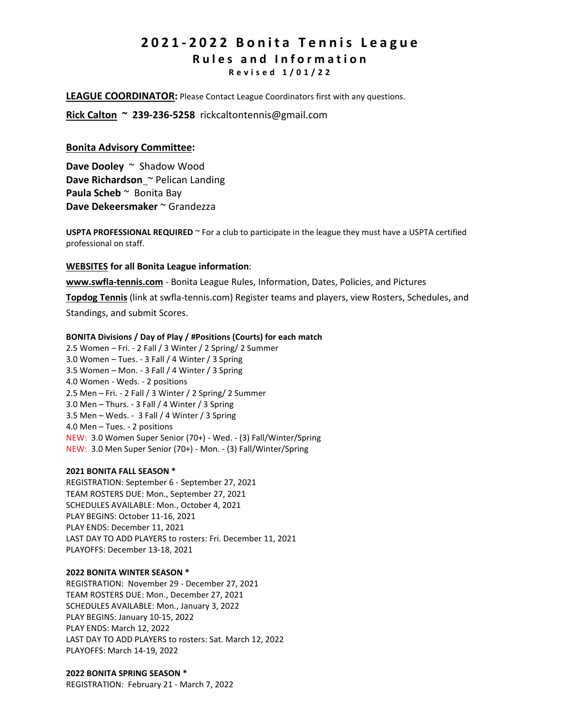# **2 0 2 1 - 2 0 2 2 B o n i t a T e n n i s L e a g u e R u l e s a n d I n f o r m a t i o n R e v i s e d 1 / 0 1 / 2 2**

**LEAGUE COORDINATOR:** Please Contact League Coordinators first with any questions.

**Rick Calton ~ 239-236-5258** rickcaltontennis@gmail.com

# **Bonita Advisory Committee:**

**Dave Dooley** ~Shadow Wood **Dave Richardson** ~ Pelican Landing **Paula Scheb** ~ Bonita Bay **Dave Dekeersmaker** ~ Grandezza

**USPTA PROFESSIONAL REQUIRED** ~ For a club to participate in the league they must have a USPTA certified professional on staff.

# **WEBSITES for all Bonita League information**:

**[www.swfla-tennis.com](http://www.swfla-tennis.com/)** - Bonita League Rules, Information, Dates, Policies, and Pictures

**[Topdog](http://www.swfla-tennis.com/www.leaguesforfun.com) Tennis** (link at swfla-tennis.com) Register teams and players, view Rosters, Schedules, and

Standings, and submit Scores.

#### **BONITA Divisions / Day of Play / #Positions (Courts) for each match**

2.5 Women – Fri. - 2 Fall / 3 Winter / 2 Spring/ 2 Summer 3.0 Women – Tues. - 3 Fall / 4 Winter / 3 Spring 3.5 Women – Mon. - 3 Fall / 4 Winter / 3 Spring 4.0 Women - Weds. - 2 positions 2.5 Men – Fri. - 2 Fall / 3 Winter / 2 Spring/ 2 Summer 3.0 Men – Thurs. - 3 Fall / 4 Winter / 3 Spring 3.5 Men – Weds. - 3 Fall / 4 Winter / 3 Spring 4.0 Men – Tues. - 2 positions NEW: 3.0 Women Super Senior (70+) - Wed. - (3) Fall/Winter/Spring NEW: 3.0 Men Super Senior (70+) - Mon. - (3) Fall/Winter/Spring

#### **2021 BONITA FALL SEASON \***

REGISTRATION: September 6 - September 27, 2021 TEAM ROSTERS DUE: Mon., September 27, 2021 SCHEDULES AVAILABLE: Mon., October 4, 2021 PLAY BEGINS: October 11-16, 2021 PLAY ENDS: December 11, 2021 LAST DAY TO ADD PLAYERS to rosters: Fri. December 11, 2021 PLAYOFFS: December 13-18, 2021

#### **2022 BONITA WINTER SEASON \***

REGISTRATION: November 29 - December 27, 2021 TEAM ROSTERS DUE: Mon., December 27, 2021 SCHEDULES AVAILABLE: Mon., January 3, 2022 PLAY BEGINS: January 10-15, 2022 PLAY ENDS: March 12, 2022 LAST DAY TO ADD PLAYERS to rosters: Sat. March 12, 2022 PLAYOFFS: March 14-19, 2022

# **2022 BONITA SPRING SEASON \***

REGISTRATION: February 21 - March 7, 2022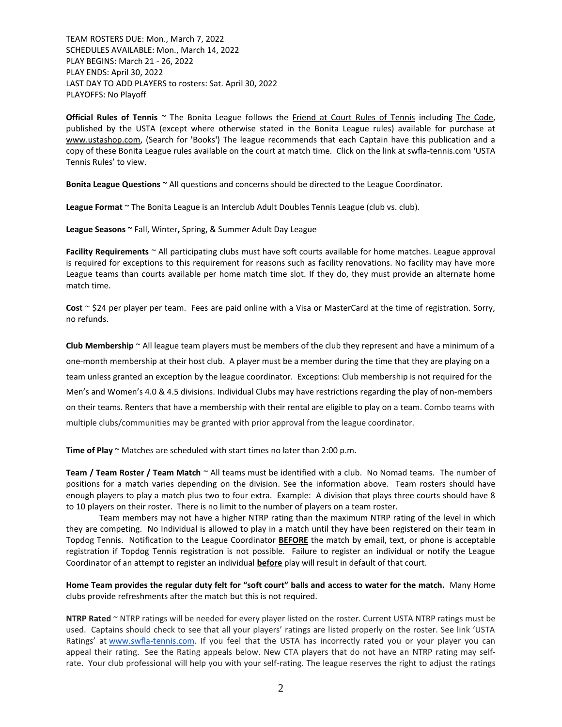TEAM ROSTERS DUE: Mon., March 7, 2022 SCHEDULES AVAILABLE: Mon., March 14, 2022 PLAY BEGINS: March 21 - 26, 2022 PLAY ENDS: April 30, 2022 LAST DAY TO ADD PLAYERS to rosters: Sat. April 30, 2022 PLAYOFFS: No Playoff

**Official Rules of Tennis** ~ The Bonita League follows the Friend at Court Rules of Tennis including The Code, published by the USTA (except where otherwise stated in the Bonita League rules) available for purchase at [www.ustashop.com,](http://www.ustashop.com/) (Search for 'Books') The league recommends that each Captain have this publication and a copy of these Bonita League rules available on the court at match time. Click on the link at swfla-tennis.com 'USTA Tennis Rules' to view.

**Bonita League Questions** ~ All questions and concerns should be directed to the League Coordinator.

League Format<sup>~</sup> The Bonita League is an Interclub Adult Doubles Tennis League (club vs. club).

**League Seasons** ~ Fall, Winter**,** Spring, & Summer Adult Day League

**Facility Requirements** ~ All participating clubs must have soft courts available for home matches. League approval is required for exceptions to this requirement for reasons such as facility renovations. No facility may have more League teams than courts available per home match time slot. If they do, they must provide an alternate home match time.

**Cost** ~ \$24 per player per team. Fees are paid online with a Visa or MasterCard at the time of registration. Sorry, no refunds.

**Club Membership** ~ All league team players must be members of the club they represent and have a minimum of a one-month membership at their host club. A player must be a member during the time that they are playing on a team unless granted an exception by the league coordinator. Exceptions: Club membership is not required for the Men's and Women's 4.0 & 4.5 divisions. Individual Clubs may have restrictions regarding the play of non-members on their teams. Renters that have a membership with their rental are eligible to play on a team. Combo teams with multiple clubs/communities may be granted with prior approval from the league coordinator.

**Time of Play** ~ Matches are scheduled with start times no later than 2:00 p.m.

**Team / Team Roster / Team Match** ~ All teams must be identified with a club. No Nomad teams. The number of positions for a match varies depending on the division. See the information above. Team rosters should have enough players to play a match plus two to four extra. Example: A division that plays three courts should have 8 to 10 players on their roster. There is no limit to the number of players on a team roster.

Team members may not have a higher NTRP rating than the maximum NTRP rating of the level in which they are competing. No Individual is allowed to play in a match until they have been registered on their team in Topdog Tennis. Notification to the League Coordinator **BEFORE** the match by email, text, or phone is acceptable registration if Topdog Tennis registration is not possible. Failure to register an individual or notify the League Coordinator of an attempt to register an individual **before** play will result in default of that court.

**Home Team provides the regular duty felt for "soft court" balls and access to water for the match.** Many Home clubs provide refreshments after the match but this is not required.

**NTRP Rated** ~ NTRP ratings will be needed for every player listed on the roster. Current USTA NTRP ratings must be used. Captains should check to see that all your players' ratings are listed properly on the roster. See link 'USTA Ratings' at [www.swfla-tennis.com.](http://www.swfla-tennis.com/) If you feel that the USTA has incorrectly rated you or your player you can appeal their rating. See the Rating appeals below. New CTA players that do not have an NTRP rating may selfrate. Your club professional will help you with your self-rating. The league reserves the right to adjust the ratings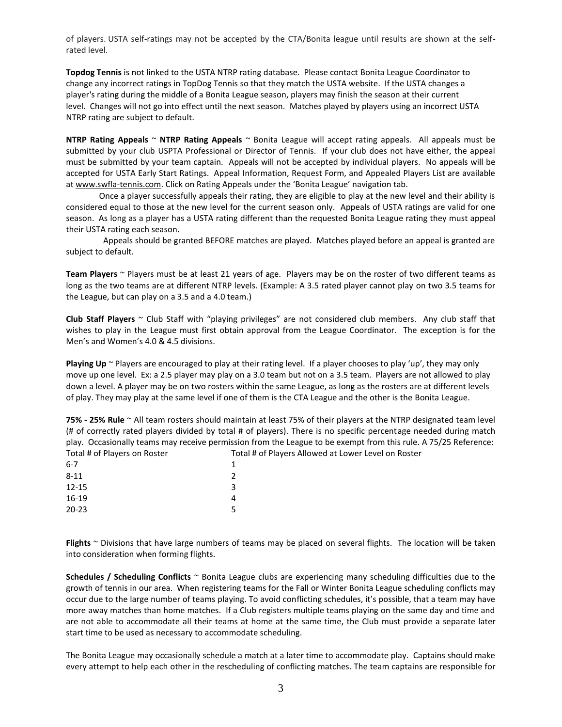of players. USTA self-ratings may not be accepted by the CTA/Bonita league until results are shown at the selfrated level.

**Topdog Tennis** is not linked to the USTA NTRP rating database. Please contact Bonita League Coordinator to change any incorrect ratings in TopDog Tennis so that they match the USTA website. If the USTA changes a player's rating during the middle of a Bonita League season, players may finish the season at their current level. Changes will not go into effect until the next season. Matches played by players using an incorrect USTA NTRP rating are subject to default.

**NTRP Rating Appeals** ~ **NTRP Rating Appeals** ~ Bonita League will accept rating appeals. All appeals must be submitted by your club USPTA Professional or Director of Tennis. If your club does not have either, the appeal must be submitted by your team captain. Appeals will not be accepted by individual players. No appeals will be accepted for USTA Early Start Ratings. Appeal Information, Request Form, and Appealed Players List are available a[t www.swfla-tennis.com.](http://www.swfla-tennis.com/) Click on Rating Appeals under the 'Bonita League' navigation tab.

Once a player successfully appeals their rating, they are eligible to play at the new level and their ability is considered equal to those at the new level for the current season only. Appeals of USTA ratings are valid for one season. As long as a player has a USTA rating different than the requested Bonita League rating they must appeal their USTA rating each season.

 Appeals should be granted BEFORE matches are played. Matches played before an appeal is granted are subject to default.

**Team Players** ~ Players must be at least 21 years of age. Players may be on the roster of two different teams as long as the two teams are at different NTRP levels. (Example: A 3.5 rated player cannot play on two 3.5 teams for the League, but can play on a 3.5 and a 4.0 team.)

**Club Staff Players** ~ Club Staff with "playing privileges" are not considered club members. Any club staff that wishes to play in the League must first obtain approval from the League Coordinator. The exception is for the Men's and Women's 4.0 & 4.5 divisions.

Playing Up<sup>o</sup> Players are encouraged to play at their rating level. If a player chooses to play 'up', they may only move up one level. Ex: a 2.5 player may play on a 3.0 team but not on a 3.5 team. Players are not allowed to play down a level. A player may be on two rosters within the same League, as long as the rosters are at different levels of play. They may play at the same level if one of them is the CTA League and the other is the Bonita League.

**75% - 25% Rule** ~ All team rosters should maintain at least 75% of their players at the NTRP designated team level (# of correctly rated players divided by total # of players). There is no specific percentage needed during match play. Occasionally teams may receive permission from the League to be exempt from this rule. A 75/25 Reference: Total # of Players on Roster Total # of Players Allowed at Lower Level on Roster  $6-7$  1 8-11 2

| $12 - 15$ |  |
|-----------|--|
| 16-19     |  |
| $20 - 23$ |  |

**Flights** ~ Divisions that have large numbers of teams may be placed on several flights. The location will be taken into consideration when forming flights.

**Schedules / Scheduling Conflicts** ~ Bonita League clubs are experiencing many scheduling difficulties due to the growth of tennis in our area. When registering teams for the Fall or Winter Bonita League scheduling conflicts may occur due to the large number of teams playing. To avoid conflicting schedules, it's possible, that a team may have more away matches than home matches. If a Club registers multiple teams playing on the same day and time and are not able to accommodate all their teams at home at the same time, the Club must provide a separate later start time to be used as necessary to accommodate scheduling.

The Bonita League may occasionally schedule a match at a later time to accommodate play. Captains should make every attempt to help each other in the rescheduling of conflicting matches. The team captains are responsible for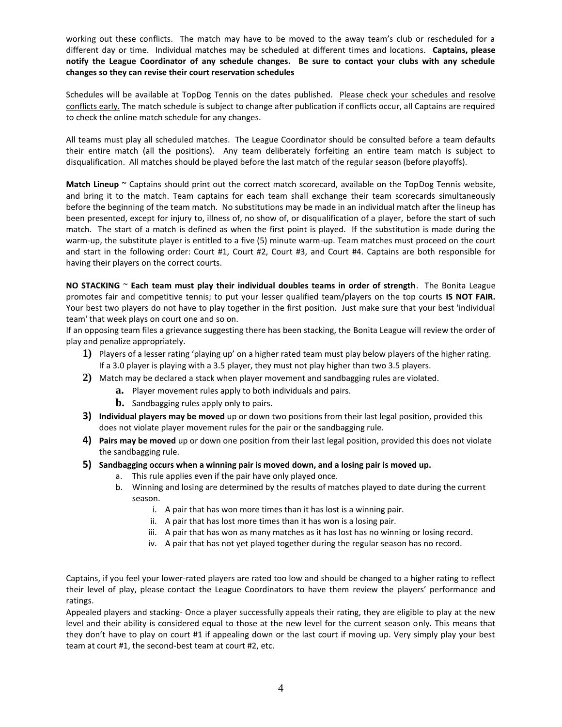working out these conflicts. The match may have to be moved to the away team's club or rescheduled for a different day or time. Individual matches may be scheduled at different times and locations. **Captains, please notify the League Coordinator of any schedule changes. Be sure to contact your clubs with any schedule changes so they can revise their court reservation schedules**

Schedules will be available at TopDog Tennis on the dates published. Please check your schedules and resolve conflicts early. The match schedule is subject to change after publication if conflicts occur, all Captains are required to check the online match schedule for any changes.

All teams must play all scheduled matches. The League Coordinator should be consulted before a team defaults their entire match (all the positions). Any team deliberately forfeiting an entire team match is subject to disqualification. All matches should be played before the last match of the regular season (before playoffs).

**Match Lineup** ~ Captains should print out the correct match scorecard, available on the TopDog Tennis website, and bring it to the match. Team captains for each team shall exchange their team scorecards simultaneously before the beginning of the team match. No substitutions may be made in an individual match after the lineup has been presented, except for injury to, illness of, no show of, or disqualification of a player, before the start of such match. The start of a match is defined as when the first point is played. If the substitution is made during the warm-up, the substitute player is entitled to a five (5) minute warm-up. Team matches must proceed on the court and start in the following order: Court #1, Court #2, Court #3, and Court #4. Captains are both responsible for having their players on the correct courts.

**NO STACKING** ~ **Each team must play their individual doubles teams in order of strength**. The Bonita League promotes fair and competitive tennis; to put your lesser qualified team/players on the top courts **IS NOT FAIR.**  Your best two players do not have to play together in the first position. Just make sure that your best 'individual team' that week plays on court one and so on.

If an opposing team files a grievance suggesting there has been stacking, the Bonita League will review the order of play and penalize appropriately.

- **1)** Players of a lesser rating 'playing up' on a higher rated team must play below players of the higher rating. If a 3.0 player is playing with a 3.5 player, they must not play higher than two 3.5 players.
- **2)** Match may be declared a stack when player movement and sandbagging rules are violated.
	- **a.** Player movement rules apply to both individuals and pairs.
	- **b.** Sandbagging rules apply only to pairs.
- **3) Individual players may be moved** up or down two positions from their last legal position, provided this does not violate player movement rules for the pair or the sandbagging rule.
- **4) Pairs may be moved** up or down one position from their last legal position, provided this does not violate the sandbagging rule.
- **5) Sandbagging occurs when a winning pair is moved down, and a losing pair is moved up.**
	- a. This rule applies even if the pair have only played once.
	- b. Winning and losing are determined by the results of matches played to date during the current season.
		- i. A pair that has won more times than it has lost is a winning pair.
		- ii. A pair that has lost more times than it has won is a losing pair.
		- iii. A pair that has won as many matches as it has lost has no winning or losing record.
		- iv. A pair that has not yet played together during the regular season has no record.

Captains, if you feel your lower-rated players are rated too low and should be changed to a higher rating to reflect their level of play, please contact the League Coordinators to have them review the players' performance and ratings.

Appealed players and stacking- Once a player successfully appeals their rating, they are eligible to play at the new level and their ability is considered equal to those at the new level for the current season only. This means that they don't have to play on court #1 if appealing down or the last court if moving up. Very simply play your best team at court #1, the second-best team at court #2, etc.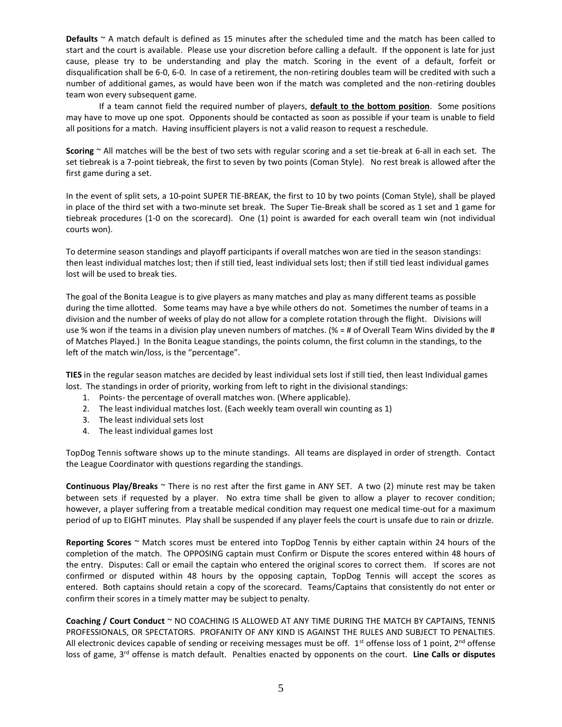**Defaults** ~ A match default is defined as 15 minutes after the scheduled time and the match has been called to start and the court is available. Please use your discretion before calling a default. If the opponent is late for just cause, please try to be understanding and play the match. Scoring in the event of a default, forfeit or disqualification shall be 6-0, 6-0. In case of a retirement, the non-retiring doubles team will be credited with such a number of additional games, as would have been won if the match was completed and the non-retiring doubles team won every subsequent game.

If a team cannot field the required number of players, **default to the bottom position**. Some positions may have to move up one spot. Opponents should be contacted as soon as possible if your team is unable to field all positions for a match. Having insufficient players is not a valid reason to request a reschedule.

**Scoring** ~ All matches will be the best of two sets with regular scoring and a set tie-break at 6-all in each set. The set tiebreak is a 7-point tiebreak, the first to seven by two points (Coman Style). No rest break is allowed after the first game during a set.

In the event of split sets, a 10-point SUPER TIE-BREAK, the first to 10 by two points (Coman Style), shall be played in place of the third set with a two-minute set break. The Super Tie-Break shall be scored as 1 set and 1 game for tiebreak procedures (1-0 on the scorecard). One (1) point is awarded for each overall team win (not individual courts won).

To determine season standings and playoff participants if overall matches won are tied in the season standings: then least individual matches lost; then if still tied, least individual sets lost; then if still tied least individual games lost will be used to break ties.

The goal of the Bonita League is to give players as many matches and play as many different teams as possible during the time allotted. Some teams may have a bye while others do not. Sometimes the number of teams in a division and the number of weeks of play do not allow for a complete rotation through the flight. Divisions will use % won if the teams in a division play uneven numbers of matches. (% = # of Overall Team Wins divided by the # of Matches Played.) In the Bonita League standings, the points column, the first column in the standings, to the left of the match win/loss, is the "percentage".

**TIES** in the regular season matches are decided by least individual sets lost if still tied, then least Individual games lost. The standings in order of priority, working from left to right in the divisional standings:

- 1. Points- the percentage of overall matches won. (Where applicable).
- 2. The least individual matches lost. (Each weekly team overall win counting as 1)
- 3. The least individual sets lost
- 4. The least individual games lost

TopDog Tennis software shows up to the minute standings. All teams are displayed in order of strength. Contact the League Coordinator with questions regarding the standings.

**Continuous Play/Breaks** ~ There is no rest after the first game in ANY SET. A two (2) minute rest may be taken between sets if requested by a player. No extra time shall be given to allow a player to recover condition; however, a player suffering from a treatable medical condition may request one medical time-out for a maximum period of up to EIGHT minutes. Play shall be suspended if any player feels the court is unsafe due to rain or drizzle.

**Reporting Scores** ~ Match scores must be entered into TopDog Tennis by either captain within 24 hours of the completion of the match. The OPPOSING captain must Confirm or Dispute the scores entered within 48 hours of the entry. Disputes: Call or email the captain who entered the original scores to correct them. If scores are not confirmed or disputed within 48 hours by the opposing captain, TopDog Tennis will accept the scores as entered. Both captains should retain a copy of the scorecard. Teams/Captains that consistently do not enter or confirm their scores in a timely matter may be subject to penalty.

**Coaching / Court Conduct** ~ NO COACHING IS ALLOWED AT ANY TIME DURING THE MATCH BY CAPTAINS, TENNIS PROFESSIONALS, OR SPECTATORS. PROFANITY OF ANY KIND IS AGAINST THE RULES AND SUBJECT TO PENALTIES. All electronic devices capable of sending or receiving messages must be off.  $1<sup>st</sup>$  offense loss of 1 point,  $2<sup>nd</sup>$  offense loss of game, 3rd offense is match default. Penalties enacted by opponents on the court. **Line Calls or disputes**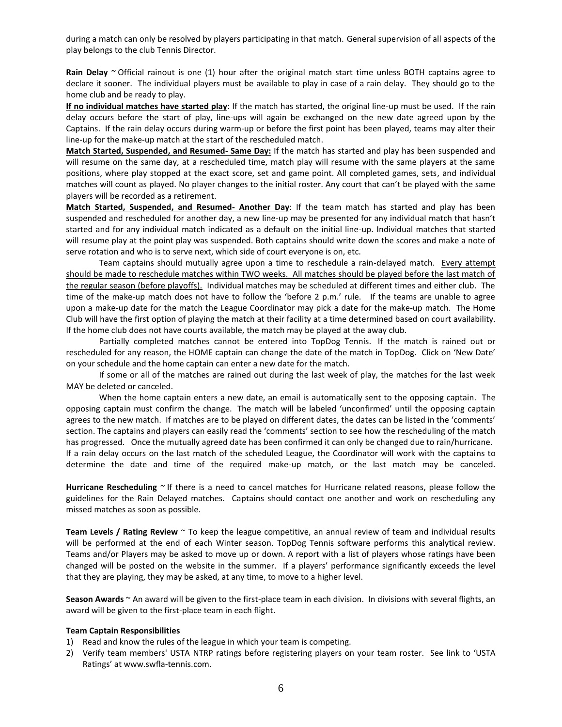during a match can only be resolved by players participating in that match. General supervision of all aspects of the play belongs to the club Tennis Director.

**Rain Delay** ~ Official rainout is one (1) hour after the original match start time unless BOTH captains agree to declare it sooner. The individual players must be available to play in case of a rain delay. They should go to the home club and be ready to play.

**If no individual matches have started play**: If the match has started, the original line-up must be used. If the rain delay occurs before the start of play, line-ups will again be exchanged on the new date agreed upon by the Captains. If the rain delay occurs during warm-up or before the first point has been played, teams may alter their line-up for the make-up match at the start of the rescheduled match.

**Match Started, Suspended, and Resumed- Same Day:** If the match has started and play has been suspended and will resume on the same day, at a rescheduled time, match play will resume with the same players at the same positions, where play stopped at the exact score, set and game point. All completed games, sets, and individual matches will count as played. No player changes to the initial roster. Any court that can't be played with the same players will be recorded as a retirement.

**Match Started, Suspended, and Resumed- Another Day**: If the team match has started and play has been suspended and rescheduled for another day, a new line-up may be presented for any individual match that hasn't started and for any individual match indicated as a default on the initial line-up. Individual matches that started will resume play at the point play was suspended. Both captains should write down the scores and make a note of serve rotation and who is to serve next, which side of court everyone is on, etc.

Team captains should mutually agree upon a time to reschedule a rain-delayed match. Every attempt should be made to reschedule matches within TWO weeks. All matches should be played before the last match of the regular season (before playoffs). Individual matches may be scheduled at different times and either club. The time of the make-up match does not have to follow the 'before 2 p.m.' rule. If the teams are unable to agree upon a make-up date for the match the League Coordinator may pick a date for the make-up match. The Home Club will have the first option of playing the match at their facility at a time determined based on court availability. If the home club does not have courts available, the match may be played at the away club.

Partially completed matches cannot be entered into TopDog Tennis. If the match is rained out or rescheduled for any reason, the HOME captain can change the date of the match in TopDog. Click on 'New Date' on your schedule and the home captain can enter a new date for the match.

If some or all of the matches are rained out during the last week of play, the matches for the last week MAY be deleted or canceled.

When the home captain enters a new date, an email is automatically sent to the opposing captain. The opposing captain must confirm the change. The match will be labeled 'unconfirmed' until the opposing captain agrees to the new match. If matches are to be played on different dates, the dates can be listed in the 'comments' section. The captains and players can easily read the 'comments' section to see how the rescheduling of the match has progressed. Once the mutually agreed date has been confirmed it can only be changed due to rain/hurricane. If a rain delay occurs on the last match of the scheduled League, the Coordinator will work with the captains to determine the date and time of the required make-up match, or the last match may be canceled.

**Hurricane Rescheduling** ~ If there is a need to cancel matches for Hurricane related reasons, please follow the guidelines for the Rain Delayed matches. Captains should contact one another and work on rescheduling any missed matches as soon as possible.

**Team Levels / Rating Review** ~ To keep the league competitive, an annual review of team and individual results will be performed at the end of each Winter season. TopDog Tennis software performs this analytical review. Teams and/or Players may be asked to move up or down. A report with a list of players whose ratings have been changed will be posted on the website in the summer. If a players' performance significantly exceeds the level that they are playing, they may be asked, at any time, to move to a higher level.

**Season Awards** ~ An award will be given to the first-place team in each division. In divisions with several flights, an award will be given to the first-place team in each flight.

#### **Team Captain Responsibilities**

- 1) Read and know the rules of the league in which your team is competing.
- 2) Verify team members' USTA NTRP ratings before registering players on your team roster. See link to 'USTA Ratings' at www.swfla-tennis.com.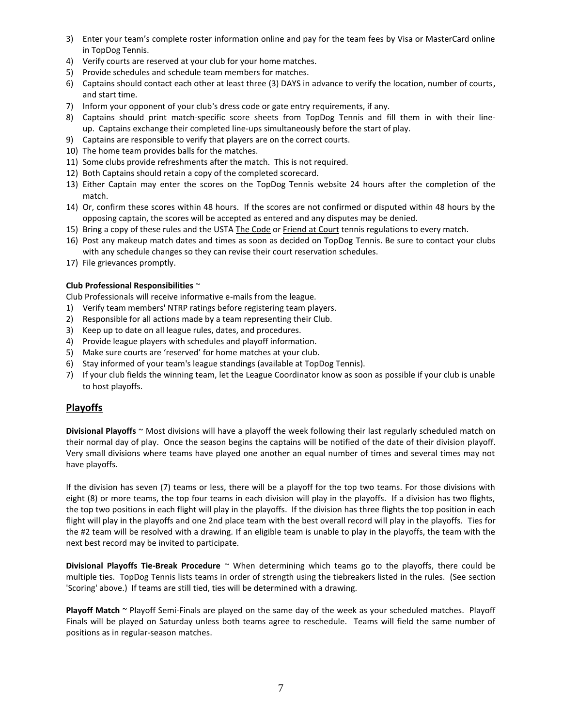- 3) Enter your team's complete roster information online and pay for the team fees by Visa or MasterCard online in TopDog Tennis.
- 4) Verify courts are reserved at your club for your home matches.
- 5) Provide schedules and schedule team members for matches.
- 6) Captains should contact each other at least three (3) DAYS in advance to verify the location, number of courts, and start time.
- 7) Inform your opponent of your club's dress code or gate entry requirements, if any.
- 8) Captains should print match-specific score sheets from TopDog Tennis and fill them in with their lineup. Captains exchange their completed line-ups simultaneously before the start of play.
- 9) Captains are responsible to verify that players are on the correct courts.
- 10) The home team provides balls for the matches.
- 11) Some clubs provide refreshments after the match. This is not required.
- 12) Both Captains should retain a copy of the completed scorecard.
- 13) Either Captain may enter the scores on the TopDog Tennis website 24 hours after the completion of the match.
- 14) Or, confirm these scores within 48 hours. If the scores are not confirmed or disputed within 48 hours by the opposing captain, the scores will be accepted as entered and any disputes may be denied.
- 15) Bring a copy of these rules and the USTA The Code or Friend at Court tennis regulations to every match.
- 16) Post any makeup match dates and times as soon as decided on TopDog Tennis. Be sure to contact your clubs with any schedule changes so they can revise their court reservation schedules.
- 17) File grievances promptly.

# **Club Professional Responsibilities** ~

Club Professionals will receive informative e-mails from the league.

- 1) Verify team members' NTRP ratings before registering team players.
- 2) Responsible for all actions made by a team representing their Club.
- 3) Keep up to date on all league rules, dates, and procedures.
- 4) Provide league players with schedules and playoff information.
- 5) Make sure courts are 'reserved' for home matches at your club.
- 6) Stay informed of your team's league standings (available at TopDog Tennis).
- 7) If your club fields the winning team, let the League Coordinator know as soon as possible if your club is unable to host playoffs.

# **Playoffs**

**Divisional Playoffs** ~ Most divisions will have a playoff the week following their last regularly scheduled match on their normal day of play. Once the season begins the captains will be notified of the date of their division playoff. Very small divisions where teams have played one another an equal number of times and several times may not have playoffs.

If the division has seven (7) teams or less, there will be a playoff for the top two teams. For those divisions with eight (8) or more teams, the top four teams in each division will play in the playoffs. If a division has two flights, the top two positions in each flight will play in the playoffs. If the division has three flights the top position in each flight will play in the playoffs and one 2nd place team with the best overall record will play in the playoffs. Ties for the #2 team will be resolved with a drawing. If an eligible team is unable to play in the playoffs, the team with the next best record may be invited to participate.

**Divisional Playoffs Tie-Break Procedure** ~ When determining which teams go to the playoffs, there could be multiple ties. TopDog Tennis lists teams in order of strength using the tiebreakers listed in the rules. (See section 'Scoring' above.) If teams are still tied, ties will be determined with a drawing.

**Playoff Match** ~ Playoff Semi-Finals are played on the same day of the week as your scheduled matches. Playoff Finals will be played on Saturday unless both teams agree to reschedule. Teams will field the same number of positions as in regular-season matches.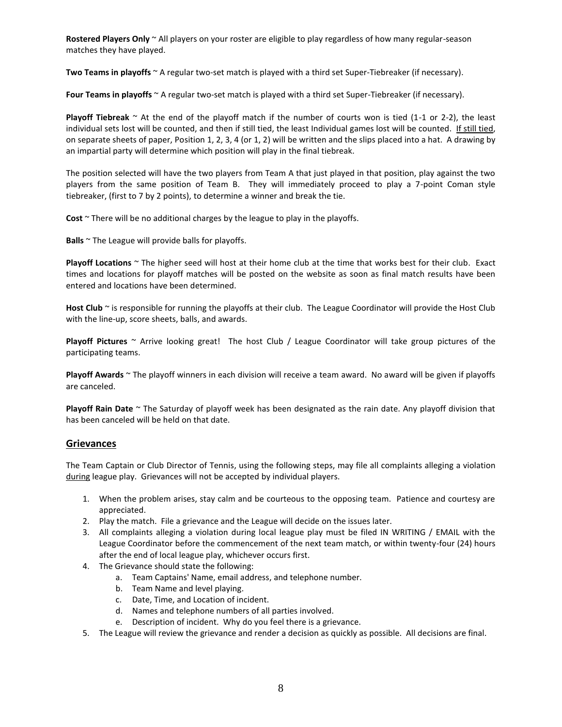**Rostered Players Only** ~ All players on your roster are eligible to play regardless of how many regular-season matches they have played.

**Two Teams in playoffs** ~ A regular two-set match is played with a third set Super-Tiebreaker (if necessary).

**Four Teams in playoffs** ~ A regular two-set match is played with a third set Super-Tiebreaker (if necessary).

**Playoff Tiebreak**  $\sim$  At the end of the playoff match if the number of courts won is tied (1-1 or 2-2), the least individual sets lost will be counted, and then if still tied, the least Individual games lost will be counted. If still tied, on separate sheets of paper, Position 1, 2, 3, 4 (or 1, 2) will be written and the slips placed into a hat. A drawing by an impartial party will determine which position will play in the final tiebreak.

The position selected will have the two players from Team A that just played in that position, play against the two players from the same position of Team B. They will immediately proceed to play a 7-point Coman style tiebreaker, (first to 7 by 2 points), to determine a winner and break the tie.

**Cost** ~ There will be no additional charges by the league to play in the playoffs.

**Balls** ~ The League will provide balls for playoffs.

**Playoff Locations** ~ The higher seed will host at their home club at the time that works best for their club. Exact times and locations for playoff matches will be posted on the website as soon as final match results have been entered and locations have been determined.

**Host Club** ~ is responsible for running the playoffs at their club. The League Coordinator will provide the Host Club with the line-up, score sheets, balls, and awards.

**Playoff Pictures** ~ Arrive looking great! The host Club / League Coordinator will take group pictures of the participating teams.

**Playoff Awards** ~ The playoff winners in each division will receive a team award. No award will be given if playoffs are canceled.

**Playoff Rain Date** ~ The Saturday of playoff week has been designated as the rain date. Any playoff division that has been canceled will be held on that date.

# **Grievances**

The Team Captain or Club Director of Tennis, using the following steps, may file all complaints alleging a violation during league play. Grievances will not be accepted by individual players.

- 1. When the problem arises, stay calm and be courteous to the opposing team. Patience and courtesy are appreciated.
- 2. Play the match. File a grievance and the League will decide on the issues later.
- 3. All complaints alleging a violation during local league play must be filed IN WRITING / EMAIL with the League Coordinator before the commencement of the next team match, or within twenty-four (24) hours after the end of local league play, whichever occurs first.
- 4. The Grievance should state the following:
	- a. Team Captains' Name, email address, and telephone number.
	- b. Team Name and level playing.
	- c. Date, Time, and Location of incident.
	- d. Names and telephone numbers of all parties involved.
	- e. Description of incident. Why do you feel there is a grievance.
- 5. The League will review the grievance and render a decision as quickly as possible. All decisions are final.